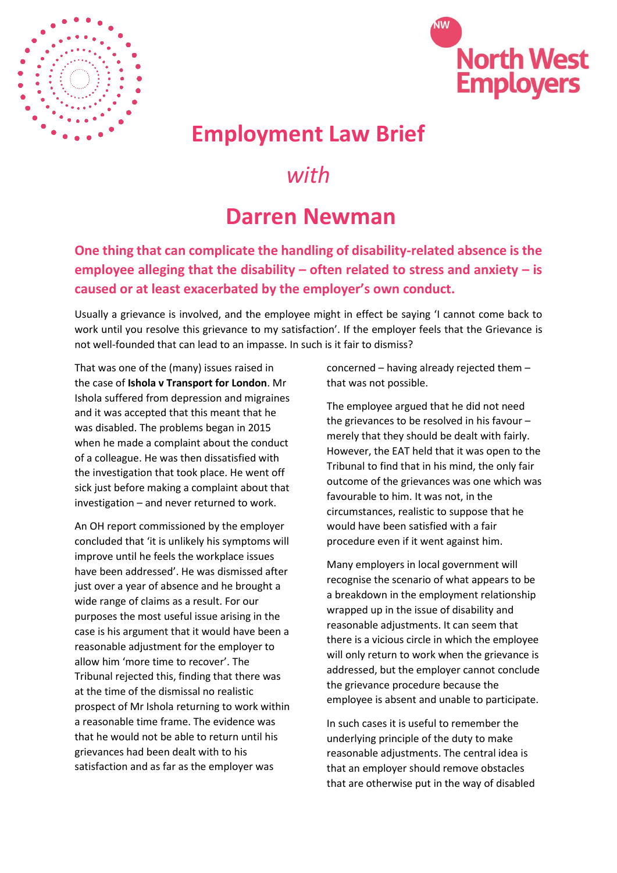



## **Employment Law Brief**

## *with*

## **Darren Newman**

**One thing that can complicate the handling of disability-related absence is the employee alleging that the disability – often related to stress and anxiety – is caused or at least exacerbated by the employer's own conduct.** 

Usually a grievance is involved, and the employee might in effect be saying 'I cannot come back to work until you resolve this grievance to my satisfaction'. If the employer feels that the Grievance is not well-founded that can lead to an impasse. In such is it fair to dismiss?

That was one of the (many) issues raised in the case of **Ishola v Transport for London**. Mr Ishola suffered from depression and migraines and it was accepted that this meant that he was disabled. The problems began in 2015 when he made a complaint about the conduct of a colleague. He was then dissatisfied with the investigation that took place. He went off sick just before making a complaint about that investigation – and never returned to work.

An OH report commissioned by the employer concluded that 'it is unlikely his symptoms will improve until he feels the workplace issues have been addressed'. He was dismissed after just over a year of absence and he brought a wide range of claims as a result. For our purposes the most useful issue arising in the case is his argument that it would have been a reasonable adjustment for the employer to allow him 'more time to recover'. The Tribunal rejected this, finding that there was at the time of the dismissal no realistic prospect of Mr Ishola returning to work within a reasonable time frame. The evidence was that he would not be able to return until his grievances had been dealt with to his satisfaction and as far as the employer was

concerned – having already rejected them – that was not possible.

The employee argued that he did not need the grievances to be resolved in his favour – merely that they should be dealt with fairly. However, the EAT held that it was open to the Tribunal to find that in his mind, the only fair outcome of the grievances was one which was favourable to him. It was not, in the circumstances, realistic to suppose that he would have been satisfied with a fair procedure even if it went against him.

Many employers in local government will recognise the scenario of what appears to be a breakdown in the employment relationship wrapped up in the issue of disability and reasonable adjustments. It can seem that there is a vicious circle in which the employee will only return to work when the grievance is addressed, but the employer cannot conclude the grievance procedure because the employee is absent and unable to participate.

In such cases it is useful to remember the underlying principle of the duty to make reasonable adjustments. The central idea is that an employer should remove obstacles that are otherwise put in the way of disabled